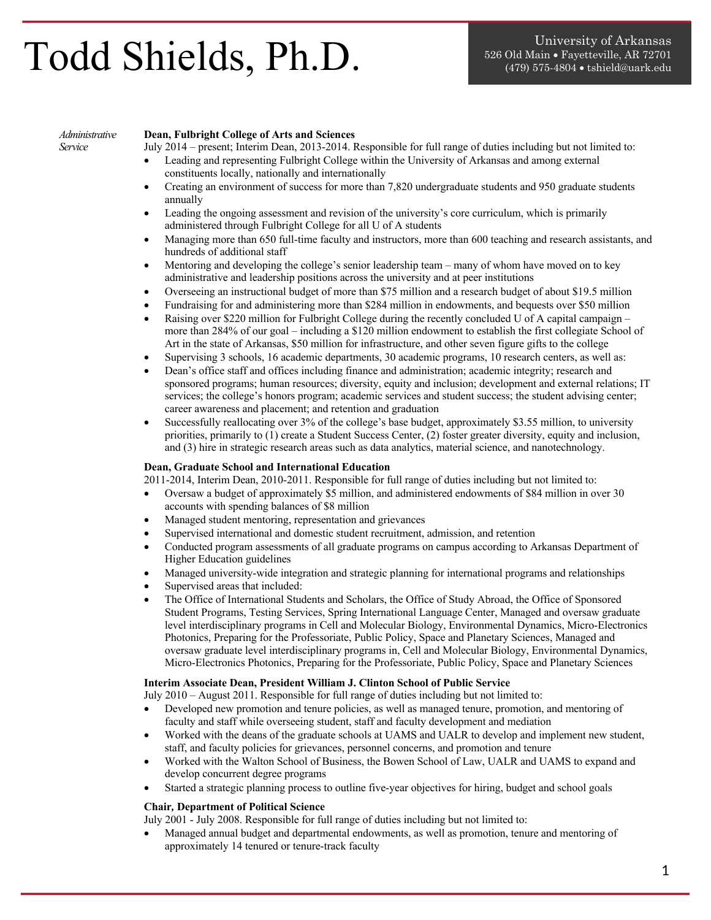# $\textbf{Todd}$  Shields, Ph.D.  $\textbf{1}^{\text{S26. Old Main} \cdot \text{Fayetteville, AR 72701}}_{\text{(479) 575-4804} \cdot \text{tshield@uark.edu}}$

### *Administrative Service*

# **Dean, Fulbright College of Arts and Sciences**

July 2014 – present; Interim Dean, 2013-2014. Responsible for full range of duties including but not limited to:

- Leading and representing Fulbright College within the University of Arkansas and among external constituents locally, nationally and internationally
- Creating an environment of success for more than 7,820 undergraduate students and 950 graduate students annually
- Leading the ongoing assessment and revision of the university's core curriculum, which is primarily administered through Fulbright College for all U of A students
- Managing more than 650 full-time faculty and instructors, more than 600 teaching and research assistants, and hundreds of additional staff
- Mentoring and developing the college's senior leadership team many of whom have moved on to key administrative and leadership positions across the university and at peer institutions
- Overseeing an instructional budget of more than \$75 million and a research budget of about \$19.5 million
- Fundraising for and administering more than \$284 million in endowments, and bequests over \$50 million
- Raising over \$220 million for Fulbright College during the recently concluded U of A capital campaign more than 284% of our goal – including a \$120 million endowment to establish the first collegiate School of Art in the state of Arkansas, \$50 million for infrastructure, and other seven figure gifts to the college
- Supervising 3 schools, 16 academic departments, 30 academic programs, 10 research centers, as well as:
- Dean's office staff and offices including finance and administration; academic integrity; research and sponsored programs; human resources; diversity, equity and inclusion; development and external relations; IT services; the college's honors program; academic services and student success; the student advising center; career awareness and placement; and retention and graduation
- Successfully reallocating over 3% of the college's base budget, approximately \$3.55 million, to university priorities, primarily to (1) create a Student Success Center, (2) foster greater diversity, equity and inclusion, and (3) hire in strategic research areas such as data analytics, material science, and nanotechnology.

# **Dean, Graduate School and International Education**

2011-2014, Interim Dean, 2010-2011. Responsible for full range of duties including but not limited to:

- Oversaw a budget of approximately \$5 million, and administered endowments of \$84 million in over 30 accounts with spending balances of \$8 million
- Managed student mentoring, representation and grievances
- Supervised international and domestic student recruitment, admission, and retention
- Conducted program assessments of all graduate programs on campus according to Arkansas Department of Higher Education guidelines
- Managed university-wide integration and strategic planning for international programs and relationships
- Supervised areas that included:
- The Office of International Students and Scholars, the Office of Study Abroad, the Office of Sponsored Student Programs, Testing Services, Spring International Language Center, Managed and oversaw graduate level interdisciplinary programs in Cell and Molecular Biology, Environmental Dynamics, Micro-Electronics Photonics, Preparing for the Professoriate, Public Policy, Space and Planetary Sciences, Managed and oversaw graduate level interdisciplinary programs in, Cell and Molecular Biology, Environmental Dynamics, Micro-Electronics Photonics, Preparing for the Professoriate, Public Policy, Space and Planetary Sciences

# **Interim Associate Dean, President William J. Clinton School of Public Service**

July 2010 – August 2011. Responsible for full range of duties including but not limited to:

- Developed new promotion and tenure policies, as well as managed tenure, promotion, and mentoring of faculty and staff while overseeing student, staff and faculty development and mediation
- Worked with the deans of the graduate schools at UAMS and UALR to develop and implement new student, staff, and faculty policies for grievances, personnel concerns, and promotion and tenure
- Worked with the Walton School of Business, the Bowen School of Law, UALR and UAMS to expand and develop concurrent degree programs
- Started a strategic planning process to outline five-year objectives for hiring, budget and school goals

## **Chair***,* **Department of Political Science**

July 2001 - July 2008. Responsible for full range of duties including but not limited to:

• Managed annual budget and departmental endowments, as well as promotion, tenure and mentoring of approximately 14 tenured or tenure-track faculty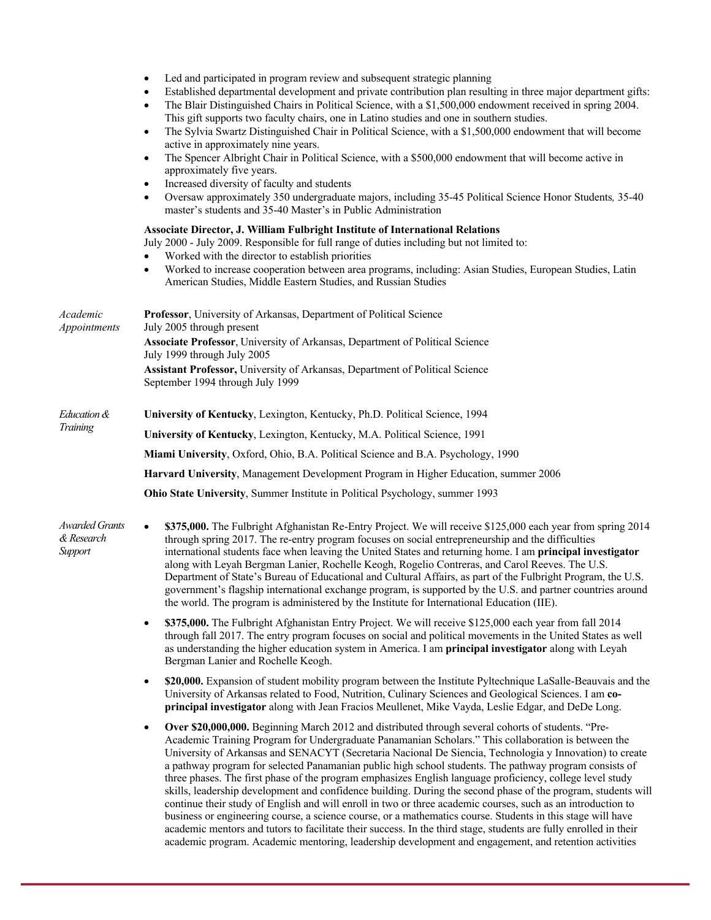|                                                | Led and participated in program review and subsequent strategic planning<br>$\bullet$<br>Established departmental development and private contribution plan resulting in three major department gifts:<br>٠<br>The Blair Distinguished Chairs in Political Science, with a \$1,500,000 endowment received in spring 2004.<br>٠<br>This gift supports two faculty chairs, one in Latino studies and one in southern studies.<br>The Sylvia Swartz Distinguished Chair in Political Science, with a \$1,500,000 endowment that will become<br>$\bullet$<br>active in approximately nine years.<br>The Spencer Albright Chair in Political Science, with a \$500,000 endowment that will become active in<br>٠<br>approximately five years.<br>Increased diversity of faculty and students<br>٠<br>Oversaw approximately 350 undergraduate majors, including 35-45 Political Science Honor Students, 35-40<br>٠<br>master's students and 35-40 Master's in Public Administration<br>Associate Director, J. William Fulbright Institute of International Relations<br>July 2000 - July 2009. Responsible for full range of duties including but not limited to: |  |  |  |
|------------------------------------------------|-------------------------------------------------------------------------------------------------------------------------------------------------------------------------------------------------------------------------------------------------------------------------------------------------------------------------------------------------------------------------------------------------------------------------------------------------------------------------------------------------------------------------------------------------------------------------------------------------------------------------------------------------------------------------------------------------------------------------------------------------------------------------------------------------------------------------------------------------------------------------------------------------------------------------------------------------------------------------------------------------------------------------------------------------------------------------------------------------------------------------------------------------------------|--|--|--|
|                                                | Worked with the director to establish priorities<br>Worked to increase cooperation between area programs, including: Asian Studies, European Studies, Latin<br>$\bullet$<br>American Studies, Middle Eastern Studies, and Russian Studies                                                                                                                                                                                                                                                                                                                                                                                                                                                                                                                                                                                                                                                                                                                                                                                                                                                                                                                   |  |  |  |
| Academic<br>Appointments                       | Professor, University of Arkansas, Department of Political Science<br>July 2005 through present                                                                                                                                                                                                                                                                                                                                                                                                                                                                                                                                                                                                                                                                                                                                                                                                                                                                                                                                                                                                                                                             |  |  |  |
|                                                | Associate Professor, University of Arkansas, Department of Political Science<br>July 1999 through July 2005                                                                                                                                                                                                                                                                                                                                                                                                                                                                                                                                                                                                                                                                                                                                                                                                                                                                                                                                                                                                                                                 |  |  |  |
|                                                | Assistant Professor, University of Arkansas, Department of Political Science<br>September 1994 through July 1999                                                                                                                                                                                                                                                                                                                                                                                                                                                                                                                                                                                                                                                                                                                                                                                                                                                                                                                                                                                                                                            |  |  |  |
| Education &                                    | University of Kentucky, Lexington, Kentucky, Ph.D. Political Science, 1994                                                                                                                                                                                                                                                                                                                                                                                                                                                                                                                                                                                                                                                                                                                                                                                                                                                                                                                                                                                                                                                                                  |  |  |  |
| Training                                       | University of Kentucky, Lexington, Kentucky, M.A. Political Science, 1991                                                                                                                                                                                                                                                                                                                                                                                                                                                                                                                                                                                                                                                                                                                                                                                                                                                                                                                                                                                                                                                                                   |  |  |  |
|                                                | Miami University, Oxford, Ohio, B.A. Political Science and B.A. Psychology, 1990                                                                                                                                                                                                                                                                                                                                                                                                                                                                                                                                                                                                                                                                                                                                                                                                                                                                                                                                                                                                                                                                            |  |  |  |
|                                                | Harvard University, Management Development Program in Higher Education, summer 2006                                                                                                                                                                                                                                                                                                                                                                                                                                                                                                                                                                                                                                                                                                                                                                                                                                                                                                                                                                                                                                                                         |  |  |  |
|                                                | Ohio State University, Summer Institute in Political Psychology, summer 1993                                                                                                                                                                                                                                                                                                                                                                                                                                                                                                                                                                                                                                                                                                                                                                                                                                                                                                                                                                                                                                                                                |  |  |  |
| <b>Awarded Grants</b><br>& Research<br>Support | \$375,000. The Fulbright Afghanistan Re-Entry Project. We will receive \$125,000 each year from spring 2014<br>$\bullet$<br>through spring 2017. The re-entry program focuses on social entrepreneurship and the difficulties<br>international students face when leaving the United States and returning home. I am principal investigator<br>along with Leyah Bergman Lanier, Rochelle Keogh, Rogelio Contreras, and Carol Reeves. The U.S.<br>Department of State's Bureau of Educational and Cultural Affairs, as part of the Fulbright Program, the U.S.<br>government's flagship international exchange program, is supported by the U.S. and partner countries around<br>the world. The program is administered by the Institute for International Education (IIE).                                                                                                                                                                                                                                                                                                                                                                                  |  |  |  |
|                                                | \$375,000. The Fulbright Afghanistan Entry Project. We will receive \$125,000 each year from fall 2014<br>$\bullet$<br>through fall 2017. The entry program focuses on social and political movements in the United States as well<br>as understanding the higher education system in America. I am principal investigator along with Leyah<br>Bergman Lanier and Rochelle Keogh.                                                                                                                                                                                                                                                                                                                                                                                                                                                                                                                                                                                                                                                                                                                                                                           |  |  |  |
|                                                | \$20,000. Expansion of student mobility program between the Institute Pyltechnique LaSalle-Beauvais and the<br>$\bullet$<br>University of Arkansas related to Food, Nutrition, Culinary Sciences and Geological Sciences. I am co-<br>principal investigator along with Jean Fracios Meullenet, Mike Vayda, Leslie Edgar, and DeDe Long.                                                                                                                                                                                                                                                                                                                                                                                                                                                                                                                                                                                                                                                                                                                                                                                                                    |  |  |  |
|                                                | Over \$20,000,000. Beginning March 2012 and distributed through several cohorts of students. "Pre-<br>$\bullet$<br>Academic Training Program for Undergraduate Panamanian Scholars." This collaboration is between the<br>University of Arkansas and SENACYT (Secretaria Nacional De Siencia, Technologia y Innovation) to create<br>a pathway program for selected Panamanian public high school students. The pathway program consists of<br>three phases. The first phase of the program emphasizes English language proficiency, college level study<br>skills, leadership development and confidence building. During the second phase of the program, students will                                                                                                                                                                                                                                                                                                                                                                                                                                                                                   |  |  |  |

continue their study of English and will enroll in two or three academic courses, such as an introduction to business or engineering course, a science course, or a mathematics course. Students in this stage will have academic mentors and tutors to facilitate their success. In the third stage, students are fully enrolled in their academic program. Academic mentoring, leadership development and engagement, and retention activities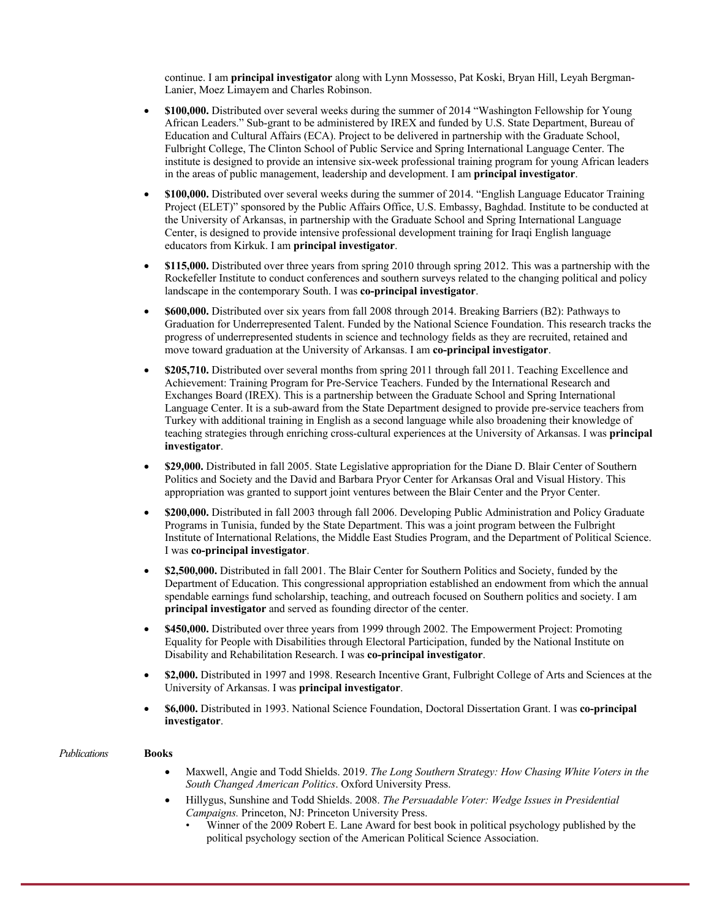continue. I am **principal investigator** along with Lynn Mossesso, Pat Koski, Bryan Hill, Leyah Bergman-Lanier, Moez Limayem and Charles Robinson.

- **\$100,000.** Distributed over several weeks during the summer of 2014 "Washington Fellowship for Young African Leaders." Sub-grant to be administered by IREX and funded by U.S. State Department, Bureau of Education and Cultural Affairs (ECA). Project to be delivered in partnership with the Graduate School, Fulbright College, The Clinton School of Public Service and Spring International Language Center. The institute is designed to provide an intensive six-week professional training program for young African leaders in the areas of public management, leadership and development. I am **principal investigator**.
- **\$100,000.** Distributed over several weeks during the summer of 2014. "English Language Educator Training Project (ELET)" sponsored by the Public Affairs Office, U.S. Embassy, Baghdad. Institute to be conducted at the University of Arkansas, in partnership with the Graduate School and Spring International Language Center, is designed to provide intensive professional development training for Iraqi English language educators from Kirkuk. I am **principal investigator**.
- **\$115,000.** Distributed over three years from spring 2010 through spring 2012. This was a partnership with the Rockefeller Institute to conduct conferences and southern surveys related to the changing political and policy landscape in the contemporary South. I was **co-principal investigator**.
- **\$600,000.** Distributed over six years from fall 2008 through 2014. Breaking Barriers (B2): Pathways to Graduation for Underrepresented Talent. Funded by the National Science Foundation. This research tracks the progress of underrepresented students in science and technology fields as they are recruited, retained and move toward graduation at the University of Arkansas. I am **co-principal investigator**.
- **\$205,710.** Distributed over several months from spring 2011 through fall 2011. Teaching Excellence and Achievement: Training Program for Pre-Service Teachers. Funded by the International Research and Exchanges Board (IREX). This is a partnership between the Graduate School and Spring International Language Center. It is a sub-award from the State Department designed to provide pre-service teachers from Turkey with additional training in English as a second language while also broadening their knowledge of teaching strategies through enriching cross-cultural experiences at the University of Arkansas. I was **principal investigator**.
- **\$29,000.** Distributed in fall 2005. State Legislative appropriation for the Diane D. Blair Center of Southern Politics and Society and the David and Barbara Pryor Center for Arkansas Oral and Visual History. This appropriation was granted to support joint ventures between the Blair Center and the Pryor Center.
- **\$200,000.** Distributed in fall 2003 through fall 2006. Developing Public Administration and Policy Graduate Programs in Tunisia, funded by the State Department. This was a joint program between the Fulbright Institute of International Relations, the Middle East Studies Program, and the Department of Political Science. I was **co-principal investigator**.
- **\$2,500,000.** Distributed in fall 2001. The Blair Center for Southern Politics and Society, funded by the Department of Education. This congressional appropriation established an endowment from which the annual spendable earnings fund scholarship, teaching, and outreach focused on Southern politics and society. I am **principal investigator** and served as founding director of the center.
- **\$450,000.** Distributed over three years from 1999 through 2002. The Empowerment Project: Promoting Equality for People with Disabilities through Electoral Participation, funded by the National Institute on Disability and Rehabilitation Research. I was **co-principal investigator**.
- **\$2,000.** Distributed in 1997 and 1998. Research Incentive Grant, Fulbright College of Arts and Sciences at the University of Arkansas. I was **principal investigator**.
- **\$6,000.** Distributed in 1993. National Science Foundation, Doctoral Dissertation Grant. I was **co-principal investigator**.

| Publications | <b>Books</b> |                                                                                                                                                                 |
|--------------|--------------|-----------------------------------------------------------------------------------------------------------------------------------------------------------------|
|              |              | Maxwell, Angie and Todd Shields. 2019. The Long Southern Strategy: How Chasing White Voters in the<br>South Changed American Politics. Oxford University Press. |
|              |              | Hillygus, Sunshine and Todd Shields. 2008. The Persuadable Voter: Wedge Issues in Presidential<br>Campaigns. Princeton, NJ: Princeton University Press.         |

• Winner of the 2009 Robert E. Lane Award for best book in political psychology published by the political psychology section of the American Political Science Association.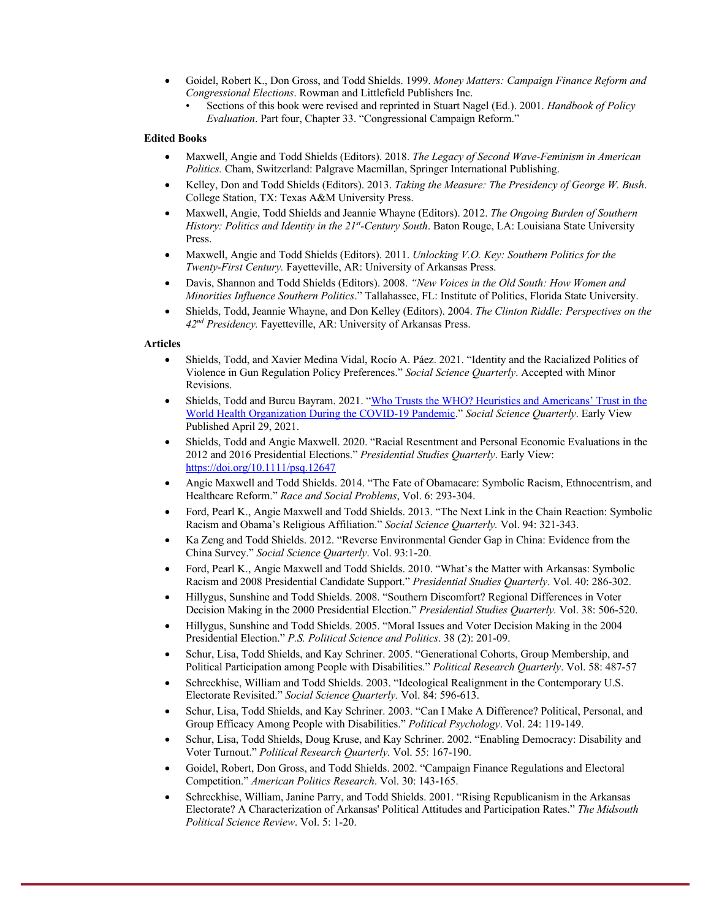- Goidel, Robert K., Don Gross, and Todd Shields. 1999. *Money Matters: Campaign Finance Reform and Congressional Elections*. Rowman and Littlefield Publishers Inc.
	- Sections of this book were revised and reprinted in Stuart Nagel (Ed.). 2001. *Handbook of Policy Evaluation*. Part four, Chapter 33. "Congressional Campaign Reform."

# **Edited Books**

- Maxwell, Angie and Todd Shields (Editors). 2018. *The Legacy of Second Wave-Feminism in American Politics.* Cham, Switzerland: Palgrave Macmillan, Springer International Publishing.
- Kelley, Don and Todd Shields (Editors). 2013. *Taking the Measure: The Presidency of George W. Bush*. College Station, TX: Texas A&M University Press.
- Maxwell, Angie, Todd Shields and Jeannie Whayne (Editors). 2012. *The Ongoing Burden of Southern History: Politics and Identity in the 21st-Century South*. Baton Rouge, LA: Louisiana State University Press.
- Maxwell, Angie and Todd Shields (Editors). 2011. *Unlocking V.O. Key: Southern Politics for the Twenty-First Century.* Fayetteville, AR: University of Arkansas Press.
- Davis, Shannon and Todd Shields (Editors). 2008. *"New Voices in the Old South: How Women and Minorities Influence Southern Politics*." Tallahassee, FL: Institute of Politics, Florida State University.
- Shields, Todd, Jeannie Whayne, and Don Kelley (Editors). 2004. *The Clinton Riddle: Perspectives on the 42nd Presidency.* Fayetteville, AR: University of Arkansas Press.

## **Articles**

- Shields, Todd, and Xavier Medina Vidal, Rocío A. Páez. 2021. "Identity and the Racialized Politics of Violence in Gun Regulation Policy Preferences." *Social Science Quarterly*. Accepted with Minor Revisions.
- Shields, Todd and Burcu Bayram. 2021. "Who Trusts the WHO? Heuristics and Americans' Trust in the World Health Organization During the COVID-19 Pandemic." *Social Science Quarterly*. Early View Published April 29, 2021.
- Shields, Todd and Angie Maxwell. 2020. "Racial Resentment and Personal Economic Evaluations in the 2012 and 2016 Presidential Elections." *Presidential Studies Quarterly*. Early View: https://doi.org/10.1111/psq.12647
- Angie Maxwell and Todd Shields. 2014. "The Fate of Obamacare: Symbolic Racism, Ethnocentrism, and Healthcare Reform." *Race and Social Problems*, Vol. 6: 293-304.
- Ford, Pearl K., Angie Maxwell and Todd Shields. 2013. "The Next Link in the Chain Reaction: Symbolic Racism and Obama's Religious Affiliation." *Social Science Quarterly.* Vol. 94: 321-343.
- Ka Zeng and Todd Shields. 2012. "Reverse Environmental Gender Gap in China: Evidence from the China Survey." *Social Science Quarterly*. Vol. 93:1-20.
- Ford, Pearl K., Angie Maxwell and Todd Shields. 2010. "What's the Matter with Arkansas: Symbolic Racism and 2008 Presidential Candidate Support." *Presidential Studies Quarterly*. Vol. 40: 286-302.
- Hillygus, Sunshine and Todd Shields. 2008. "Southern Discomfort? Regional Differences in Voter Decision Making in the 2000 Presidential Election." *Presidential Studies Quarterly.* Vol. 38: 506-520.
- Hillygus, Sunshine and Todd Shields. 2005. "Moral Issues and Voter Decision Making in the 2004 Presidential Election." *P.S. Political Science and Politics*. 38 (2): 201-09.
- Schur, Lisa, Todd Shields, and Kay Schriner. 2005. "Generational Cohorts, Group Membership, and Political Participation among People with Disabilities." *Political Research Quarterly*. Vol. 58: 487-57
- Schreckhise, William and Todd Shields. 2003. "Ideological Realignment in the Contemporary U.S. Electorate Revisited." *Social Science Quarterly.* Vol. 84: 596-613.
- Schur, Lisa, Todd Shields, and Kay Schriner. 2003. "Can I Make A Difference? Political, Personal, and Group Efficacy Among People with Disabilities." *Political Psychology*. Vol. 24: 119-149.
- Schur, Lisa, Todd Shields, Doug Kruse, and Kay Schriner. 2002. "Enabling Democracy: Disability and Voter Turnout." *Political Research Quarterly.* Vol. 55: 167-190.
- Goidel, Robert, Don Gross, and Todd Shields. 2002. "Campaign Finance Regulations and Electoral Competition." *American Politics Research*. Vol. 30: 143-165.
- Schreckhise, William, Janine Parry, and Todd Shields. 2001. "Rising Republicanism in the Arkansas Electorate? A Characterization of Arkansas' Political Attitudes and Participation Rates." *The Midsouth Political Science Review*. Vol. 5: 1-20.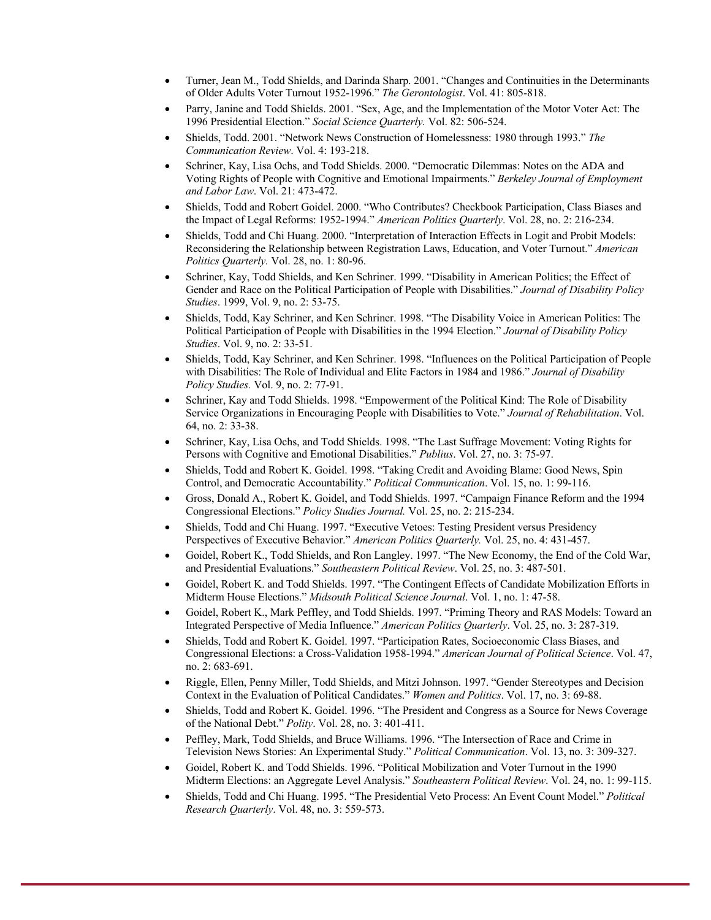- Turner, Jean M., Todd Shields, and Darinda Sharp. 2001. "Changes and Continuities in the Determinants of Older Adults Voter Turnout 1952-1996." *The Gerontologist*. Vol. 41: 805-818.
- Parry, Janine and Todd Shields. 2001. "Sex, Age, and the Implementation of the Motor Voter Act: The 1996 Presidential Election." *Social Science Quarterly.* Vol. 82: 506-524.
- Shields, Todd. 2001. "Network News Construction of Homelessness: 1980 through 1993." *The Communication Review*. Vol. 4: 193-218.
- Schriner, Kay, Lisa Ochs, and Todd Shields. 2000. "Democratic Dilemmas: Notes on the ADA and Voting Rights of People with Cognitive and Emotional Impairments." *Berkeley Journal of Employment and Labor Law*. Vol. 21: 473-472.
- Shields, Todd and Robert Goidel. 2000. "Who Contributes? Checkbook Participation, Class Biases and the Impact of Legal Reforms: 1952-1994." *American Politics Quarterly*. Vol. 28, no. 2: 216-234.
- Shields, Todd and Chi Huang. 2000. "Interpretation of Interaction Effects in Logit and Probit Models: Reconsidering the Relationship between Registration Laws, Education, and Voter Turnout." *American Politics Quarterly.* Vol. 28, no. 1: 80-96.
- Schriner, Kay, Todd Shields, and Ken Schriner. 1999. "Disability in American Politics; the Effect of Gender and Race on the Political Participation of People with Disabilities." *Journal of Disability Policy Studies*. 1999, Vol. 9, no. 2: 53-75.
- Shields, Todd, Kay Schriner, and Ken Schriner. 1998. "The Disability Voice in American Politics: The Political Participation of People with Disabilities in the 1994 Election." *Journal of Disability Policy Studies*. Vol. 9, no. 2: 33-51.
- Shields, Todd, Kay Schriner, and Ken Schriner. 1998. "Influences on the Political Participation of People with Disabilities: The Role of Individual and Elite Factors in 1984 and 1986." *Journal of Disability Policy Studies.* Vol. 9, no. 2: 77-91.
- Schriner, Kay and Todd Shields. 1998. "Empowerment of the Political Kind: The Role of Disability Service Organizations in Encouraging People with Disabilities to Vote." *Journal of Rehabilitation*. Vol. 64, no. 2: 33-38.
- Schriner, Kay, Lisa Ochs, and Todd Shields. 1998. "The Last Suffrage Movement: Voting Rights for Persons with Cognitive and Emotional Disabilities." *Publius*. Vol. 27, no. 3: 75-97.
- Shields, Todd and Robert K. Goidel. 1998. "Taking Credit and Avoiding Blame: Good News, Spin Control, and Democratic Accountability." *Political Communication*. Vol. 15, no. 1: 99-116.
- Gross, Donald A., Robert K. Goidel, and Todd Shields. 1997. "Campaign Finance Reform and the 1994 Congressional Elections." *Policy Studies Journal.* Vol. 25, no. 2: 215-234.
- Shields, Todd and Chi Huang. 1997. "Executive Vetoes: Testing President versus Presidency Perspectives of Executive Behavior." *American Politics Quarterly.* Vol. 25, no. 4: 431-457.
- Goidel, Robert K., Todd Shields, and Ron Langley. 1997. "The New Economy, the End of the Cold War, and Presidential Evaluations." *Southeastern Political Review*. Vol. 25, no. 3: 487-501.
- Goidel, Robert K. and Todd Shields. 1997. "The Contingent Effects of Candidate Mobilization Efforts in Midterm House Elections." *Midsouth Political Science Journal*. Vol. 1, no. 1: 47-58.
- Goidel, Robert K., Mark Peffley, and Todd Shields. 1997. "Priming Theory and RAS Models: Toward an Integrated Perspective of Media Influence." *American Politics Quarterly*. Vol. 25, no. 3: 287-319.
- Shields, Todd and Robert K. Goidel. 1997. "Participation Rates, Socioeconomic Class Biases, and Congressional Elections: a Cross-Validation 1958-1994." *American Journal of Political Science*. Vol. 47, no. 2: 683-691.
- Riggle, Ellen, Penny Miller, Todd Shields, and Mitzi Johnson. 1997. "Gender Stereotypes and Decision Context in the Evaluation of Political Candidates." *Women and Politics*. Vol. 17, no. 3: 69-88.
- Shields, Todd and Robert K. Goidel. 1996. "The President and Congress as a Source for News Coverage of the National Debt." *Polity*. Vol. 28, no. 3: 401-411.
- Peffley, Mark, Todd Shields, and Bruce Williams. 1996. "The Intersection of Race and Crime in Television News Stories: An Experimental Study." *Political Communication*. Vol. 13, no. 3: 309-327.
- Goidel, Robert K. and Todd Shields. 1996. "Political Mobilization and Voter Turnout in the 1990 Midterm Elections: an Aggregate Level Analysis." *Southeastern Political Review*. Vol. 24, no. 1: 99-115.
- Shields, Todd and Chi Huang. 1995. "The Presidential Veto Process: An Event Count Model." *Political Research Quarterly*. Vol. 48, no. 3: 559-573.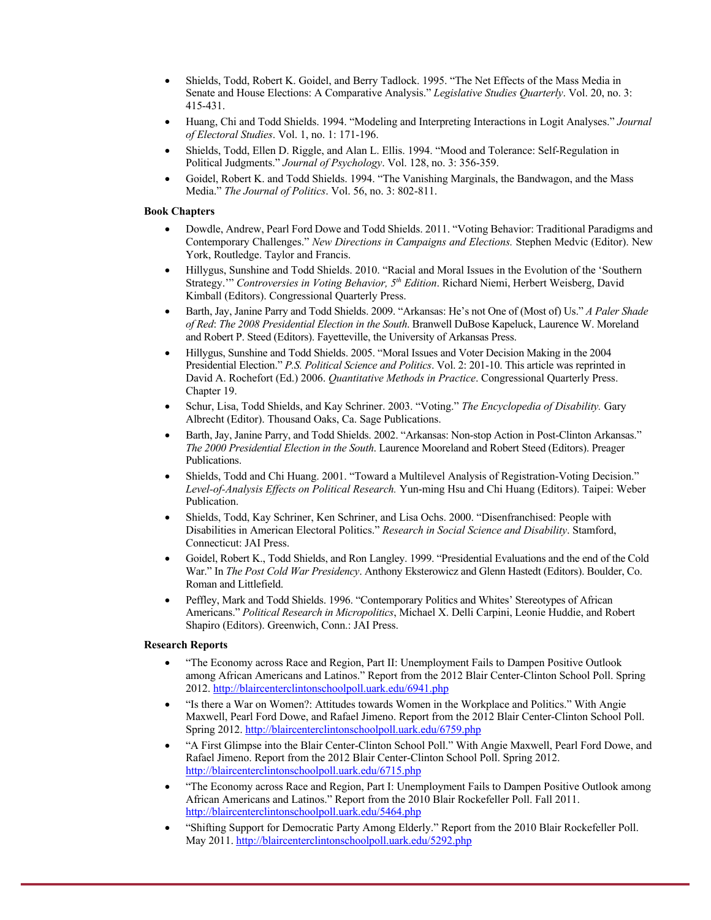- Shields, Todd, Robert K. Goidel, and Berry Tadlock. 1995. "The Net Effects of the Mass Media in Senate and House Elections: A Comparative Analysis." *Legislative Studies Quarterly*. Vol. 20, no. 3: 415-431.
- Huang, Chi and Todd Shields. 1994. "Modeling and Interpreting Interactions in Logit Analyses." *Journal of Electoral Studies*. Vol. 1, no. 1: 171-196.
- Shields, Todd, Ellen D. Riggle, and Alan L. Ellis. 1994. "Mood and Tolerance: Self-Regulation in Political Judgments." *Journal of Psychology*. Vol. 128, no. 3: 356-359.
- Goidel, Robert K. and Todd Shields. 1994. "The Vanishing Marginals, the Bandwagon, and the Mass Media." *The Journal of Politics*. Vol. 56, no. 3: 802-811.

# **Book Chapters**

- Dowdle, Andrew, Pearl Ford Dowe and Todd Shields. 2011. "Voting Behavior: Traditional Paradigms and Contemporary Challenges." *New Directions in Campaigns and Elections.* Stephen Medvic (Editor). New York, Routledge. Taylor and Francis.
- Hillygus, Sunshine and Todd Shields. 2010. "Racial and Moral Issues in the Evolution of the 'Southern Strategy.'" *Controversies in Voting Behavior, 5th Edition*. Richard Niemi, Herbert Weisberg, David Kimball (Editors). Congressional Quarterly Press.
- Barth, Jay, Janine Parry and Todd Shields. 2009. "Arkansas: He's not One of (Most of) Us." *A Paler Shade of Red*: *The 2008 Presidential Election in the South*. Branwell DuBose Kapeluck, Laurence W. Moreland and Robert P. Steed (Editors). Fayetteville, the University of Arkansas Press.
- Hillygus, Sunshine and Todd Shields. 2005. "Moral Issues and Voter Decision Making in the 2004 Presidential Election." *P.S. Political Science and Politics*. Vol. 2: 201-10. This article was reprinted in David A. Rochefort (Ed.) 2006. *Quantitative Methods in Practice*. Congressional Quarterly Press. Chapter 19.
- Schur, Lisa, Todd Shields, and Kay Schriner. 2003. "Voting." *The Encyclopedia of Disability.* Gary Albrecht (Editor). Thousand Oaks, Ca. Sage Publications.
- Barth, Jay, Janine Parry, and Todd Shields. 2002. "Arkansas: Non-stop Action in Post-Clinton Arkansas." *The 2000 Presidential Election in the South*. Laurence Mooreland and Robert Steed (Editors). Preager Publications.
- Shields, Todd and Chi Huang. 2001. "Toward a Multilevel Analysis of Registration-Voting Decision." *Level-of-Analysis Effects on Political Research.* Yun-ming Hsu and Chi Huang (Editors). Taipei: Weber Publication.
- Shields, Todd, Kay Schriner, Ken Schriner, and Lisa Ochs. 2000. "Disenfranchised: People with Disabilities in American Electoral Politics." *Research in Social Science and Disability*. Stamford, Connecticut: JAI Press.
- Goidel, Robert K., Todd Shields, and Ron Langley. 1999. "Presidential Evaluations and the end of the Cold War." In *The Post Cold War Presidency*. Anthony Eksterowicz and Glenn Hastedt (Editors). Boulder, Co. Roman and Littlefield.
- Peffley, Mark and Todd Shields. 1996. "Contemporary Politics and Whites' Stereotypes of African Americans." *Political Research in Micropolitics*, Michael X. Delli Carpini, Leonie Huddie, and Robert Shapiro (Editors). Greenwich, Conn.: JAI Press.

# **Research Reports**

- "The Economy across Race and Region, Part II: Unemployment Fails to Dampen Positive Outlook among African Americans and Latinos." Report from the 2012 Blair Center-Clinton School Poll. Spring 2012. http://blaircenterclintonschoolpoll.uark.edu/6941.php
- "Is there a War on Women?: Attitudes towards Women in the Workplace and Politics." With Angie Maxwell, Pearl Ford Dowe, and Rafael Jimeno. Report from the 2012 Blair Center-Clinton School Poll. Spring 2012. http://blaircenterclintonschoolpoll.uark.edu/6759.php
- "A First Glimpse into the Blair Center-Clinton School Poll." With Angie Maxwell, Pearl Ford Dowe, and Rafael Jimeno. Report from the 2012 Blair Center-Clinton School Poll. Spring 2012. http://blaircenterclintonschoolpoll.uark.edu/6715.php
- "The Economy across Race and Region, Part I: Unemployment Fails to Dampen Positive Outlook among African Americans and Latinos." Report from the 2010 Blair Rockefeller Poll. Fall 2011. http://blaircenterclintonschoolpoll.uark.edu/5464.php
- "Shifting Support for Democratic Party Among Elderly." Report from the 2010 Blair Rockefeller Poll. May 2011. http://blaircenterclintonschoolpoll.uark.edu/5292.php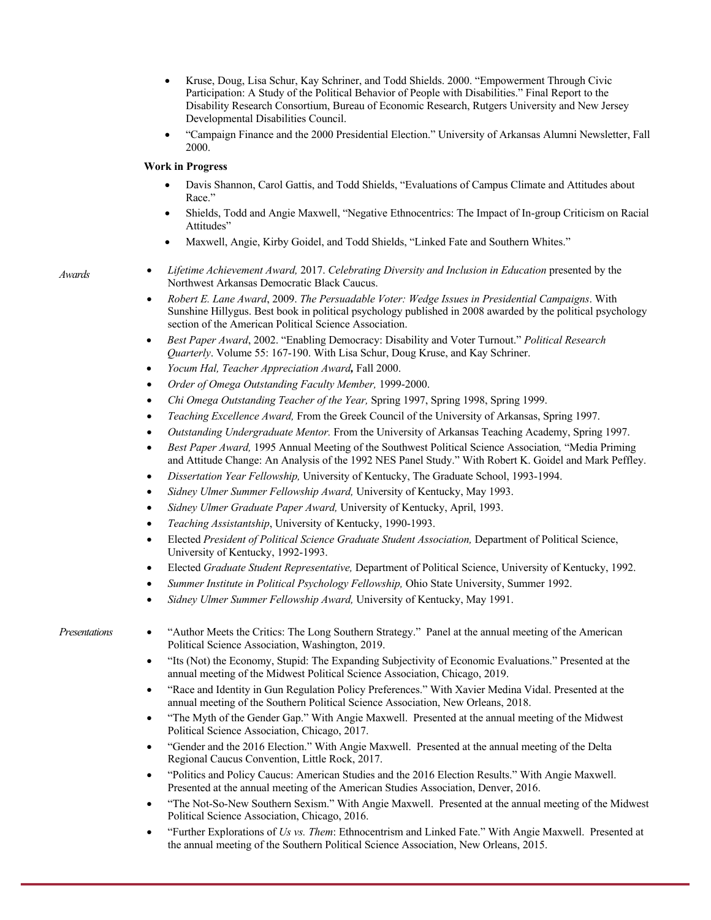- Kruse, Doug, Lisa Schur, Kay Schriner, and Todd Shields. 2000. "Empowerment Through Civic Participation: A Study of the Political Behavior of People with Disabilities." Final Report to the Disability Research Consortium, Bureau of Economic Research, Rutgers University and New Jersey Developmental Disabilities Council.
- "Campaign Finance and the 2000 Presidential Election." University of Arkansas Alumni Newsletter, Fall 2000.

# **Work in Progress**

- Davis Shannon, Carol Gattis, and Todd Shields, "Evaluations of Campus Climate and Attitudes about Race."
- Shields, Todd and Angie Maxwell, "Negative Ethnocentrics: The Impact of In-group Criticism on Racial Attitudes"
- Maxwell, Angie, Kirby Goidel, and Todd Shields, "Linked Fate and Southern Whites."
- *Awards Lifetime Achievement Award,* 2017. *Celebrating Diversity and Inclusion in Education* presented by the Northwest Arkansas Democratic Black Caucus.
	- *Robert E. Lane Award*, 2009. *The Persuadable Voter: Wedge Issues in Presidential Campaigns*. With Sunshine Hillygus. Best book in political psychology published in 2008 awarded by the political psychology section of the American Political Science Association.
	- *Best Paper Award*, 2002. "Enabling Democracy: Disability and Voter Turnout." *Political Research Quarterly*. Volume 55: 167-190. With Lisa Schur, Doug Kruse, and Kay Schriner.
	- *Yocum Hal, Teacher Appreciation Award,* Fall 2000.
	- *Order of Omega Outstanding Faculty Member,* 1999-2000.
	- *Chi Omega Outstanding Teacher of the Year,* Spring 1997, Spring 1998, Spring 1999.
	- *Teaching Excellence Award,* From the Greek Council of the University of Arkansas, Spring 1997.
	- *Outstanding Undergraduate Mentor.* From the University of Arkansas Teaching Academy, Spring 1997.
	- *Best Paper Award,* 1995 Annual Meeting of the Southwest Political Science Association*,* "Media Priming and Attitude Change: An Analysis of the 1992 NES Panel Study." With Robert K. Goidel and Mark Peffley.
	- *Dissertation Year Fellowship,* University of Kentucky, The Graduate School, 1993-1994.
	- *Sidney Ulmer Summer Fellowship Award,* University of Kentucky, May 1993.
	- *Sidney Ulmer Graduate Paper Award,* University of Kentucky, April, 1993.
	- *Teaching Assistantship*, University of Kentucky, 1990-1993.
	- Elected *President of Political Science Graduate Student Association,* Department of Political Science, University of Kentucky, 1992-1993.
	- Elected *Graduate Student Representative,* Department of Political Science, University of Kentucky, 1992.
	- *Summer Institute in Political Psychology Fellowship,* Ohio State University, Summer 1992.
	- *Sidney Ulmer Summer Fellowship Award,* University of Kentucky, May 1991.

- *Presentations* "Author Meets the Critics: The Long Southern Strategy." Panel at the annual meeting of the American Political Science Association, Washington, 2019.
	- "Its (Not) the Economy, Stupid: The Expanding Subjectivity of Economic Evaluations." Presented at the annual meeting of the Midwest Political Science Association, Chicago, 2019.
	- "Race and Identity in Gun Regulation Policy Preferences." With Xavier Medina Vidal. Presented at the annual meeting of the Southern Political Science Association, New Orleans, 2018.
	- "The Myth of the Gender Gap." With Angie Maxwell. Presented at the annual meeting of the Midwest Political Science Association, Chicago, 2017.
	- "Gender and the 2016 Election." With Angie Maxwell. Presented at the annual meeting of the Delta Regional Caucus Convention, Little Rock, 2017.
	- "Politics and Policy Caucus: American Studies and the 2016 Election Results." With Angie Maxwell. Presented at the annual meeting of the American Studies Association, Denver, 2016.
	- "The Not-So-New Southern Sexism." With Angie Maxwell. Presented at the annual meeting of the Midwest Political Science Association, Chicago, 2016.
	- "Further Explorations of *Us vs. Them*: Ethnocentrism and Linked Fate." With Angie Maxwell. Presented at the annual meeting of the Southern Political Science Association, New Orleans, 2015.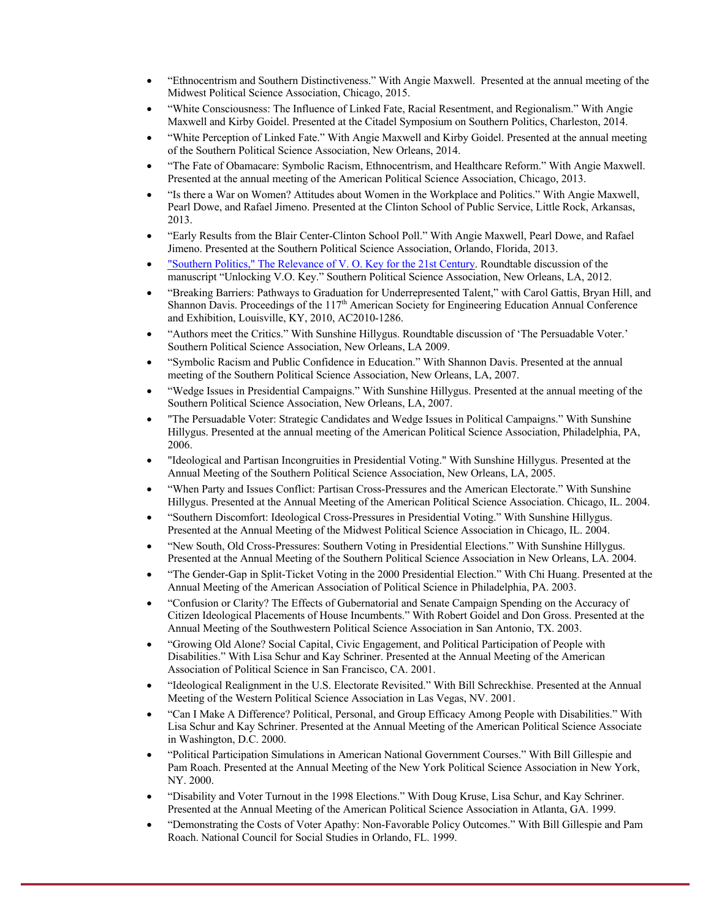- "Ethnocentrism and Southern Distinctiveness." With Angie Maxwell. Presented at the annual meeting of the Midwest Political Science Association, Chicago, 2015.
- "White Consciousness: The Influence of Linked Fate, Racial Resentment, and Regionalism." With Angie Maxwell and Kirby Goidel. Presented at the Citadel Symposium on Southern Politics, Charleston, 2014.
- "White Perception of Linked Fate." With Angie Maxwell and Kirby Goidel. Presented at the annual meeting of the Southern Political Science Association, New Orleans, 2014.
- "The Fate of Obamacare: Symbolic Racism, Ethnocentrism, and Healthcare Reform." With Angie Maxwell. Presented at the annual meeting of the American Political Science Association, Chicago, 2013.
- "Is there a War on Women? Attitudes about Women in the Workplace and Politics." With Angie Maxwell, Pearl Dowe, and Rafael Jimeno. Presented at the Clinton School of Public Service, Little Rock, Arkansas, 2013.
- "Early Results from the Blair Center-Clinton School Poll." With Angie Maxwell, Pearl Dowe, and Rafael Jimeno. Presented at the Southern Political Science Association, Orlando, Florida, 2013.
- "Southern Politics," The Relevance of V. O. Key for the 21st Century. Roundtable discussion of the manuscript "Unlocking V.O. Key." Southern Political Science Association, New Orleans, LA, 2012.
- "Breaking Barriers: Pathways to Graduation for Underrepresented Talent," with Carol Gattis, Bryan Hill, and Shannon Davis. Proceedings of the 117<sup>th</sup> American Society for Engineering Education Annual Conference and Exhibition, Louisville, KY, 2010, AC2010-1286.
- "Authors meet the Critics." With Sunshine Hillygus. Roundtable discussion of 'The Persuadable Voter.' Southern Political Science Association, New Orleans, LA 2009.
- "Symbolic Racism and Public Confidence in Education." With Shannon Davis. Presented at the annual meeting of the Southern Political Science Association, New Orleans, LA, 2007.
- "Wedge Issues in Presidential Campaigns." With Sunshine Hillygus. Presented at the annual meeting of the Southern Political Science Association, New Orleans, LA, 2007.
- "The Persuadable Voter: Strategic Candidates and Wedge Issues in Political Campaigns." With Sunshine Hillygus. Presented at the annual meeting of the American Political Science Association, Philadelphia, PA, 2006.
- "Ideological and Partisan Incongruities in Presidential Voting." With Sunshine Hillygus. Presented at the Annual Meeting of the Southern Political Science Association, New Orleans, LA, 2005.
- "When Party and Issues Conflict: Partisan Cross-Pressures and the American Electorate." With Sunshine Hillygus. Presented at the Annual Meeting of the American Political Science Association. Chicago, IL. 2004.
- "Southern Discomfort: Ideological Cross-Pressures in Presidential Voting." With Sunshine Hillygus. Presented at the Annual Meeting of the Midwest Political Science Association in Chicago, IL. 2004.
- "New South, Old Cross-Pressures: Southern Voting in Presidential Elections." With Sunshine Hillygus. Presented at the Annual Meeting of the Southern Political Science Association in New Orleans, LA. 2004.
- "The Gender-Gap in Split-Ticket Voting in the 2000 Presidential Election." With Chi Huang. Presented at the Annual Meeting of the American Association of Political Science in Philadelphia, PA. 2003.
- "Confusion or Clarity? The Effects of Gubernatorial and Senate Campaign Spending on the Accuracy of Citizen Ideological Placements of House Incumbents." With Robert Goidel and Don Gross. Presented at the Annual Meeting of the Southwestern Political Science Association in San Antonio, TX. 2003.
- "Growing Old Alone? Social Capital, Civic Engagement, and Political Participation of People with Disabilities." With Lisa Schur and Kay Schriner. Presented at the Annual Meeting of the American Association of Political Science in San Francisco, CA. 2001.
- "Ideological Realignment in the U.S. Electorate Revisited." With Bill Schreckhise. Presented at the Annual Meeting of the Western Political Science Association in Las Vegas, NV. 2001.
- "Can I Make A Difference? Political, Personal, and Group Efficacy Among People with Disabilities." With Lisa Schur and Kay Schriner. Presented at the Annual Meeting of the American Political Science Associate in Washington, D.C. 2000.
- "Political Participation Simulations in American National Government Courses." With Bill Gillespie and Pam Roach. Presented at the Annual Meeting of the New York Political Science Association in New York, NY. 2000.
- "Disability and Voter Turnout in the 1998 Elections." With Doug Kruse, Lisa Schur, and Kay Schriner. Presented at the Annual Meeting of the American Political Science Association in Atlanta, GA. 1999.
- "Demonstrating the Costs of Voter Apathy: Non-Favorable Policy Outcomes." With Bill Gillespie and Pam Roach. National Council for Social Studies in Orlando, FL. 1999.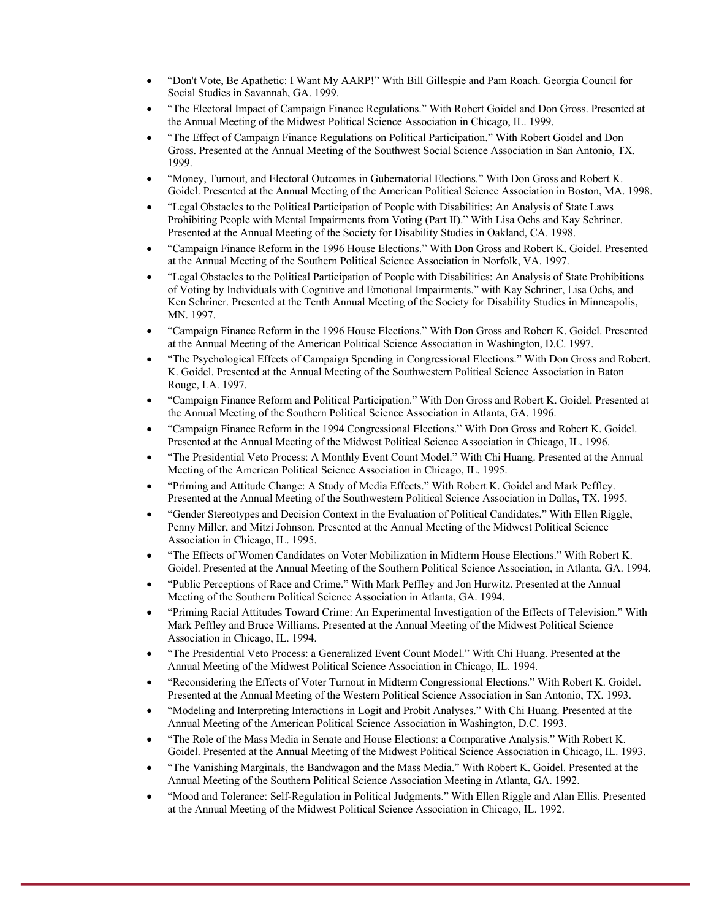- "Don't Vote, Be Apathetic: I Want My AARP!" With Bill Gillespie and Pam Roach. Georgia Council for Social Studies in Savannah, GA. 1999.
- "The Electoral Impact of Campaign Finance Regulations." With Robert Goidel and Don Gross. Presented at the Annual Meeting of the Midwest Political Science Association in Chicago, IL. 1999.
- "The Effect of Campaign Finance Regulations on Political Participation." With Robert Goidel and Don Gross. Presented at the Annual Meeting of the Southwest Social Science Association in San Antonio, TX. 1999.
- "Money, Turnout, and Electoral Outcomes in Gubernatorial Elections." With Don Gross and Robert K. Goidel. Presented at the Annual Meeting of the American Political Science Association in Boston, MA. 1998.
- "Legal Obstacles to the Political Participation of People with Disabilities: An Analysis of State Laws Prohibiting People with Mental Impairments from Voting (Part II)." With Lisa Ochs and Kay Schriner. Presented at the Annual Meeting of the Society for Disability Studies in Oakland, CA. 1998.
- "Campaign Finance Reform in the 1996 House Elections." With Don Gross and Robert K. Goidel. Presented at the Annual Meeting of the Southern Political Science Association in Norfolk, VA. 1997.
- "Legal Obstacles to the Political Participation of People with Disabilities: An Analysis of State Prohibitions of Voting by Individuals with Cognitive and Emotional Impairments." with Kay Schriner, Lisa Ochs, and Ken Schriner. Presented at the Tenth Annual Meeting of the Society for Disability Studies in Minneapolis, MN. 1997.
- "Campaign Finance Reform in the 1996 House Elections." With Don Gross and Robert K. Goidel. Presented at the Annual Meeting of the American Political Science Association in Washington, D.C. 1997.
- "The Psychological Effects of Campaign Spending in Congressional Elections." With Don Gross and Robert. K. Goidel. Presented at the Annual Meeting of the Southwestern Political Science Association in Baton Rouge, LA. 1997.
- "Campaign Finance Reform and Political Participation." With Don Gross and Robert K. Goidel. Presented at the Annual Meeting of the Southern Political Science Association in Atlanta, GA. 1996.
- "Campaign Finance Reform in the 1994 Congressional Elections." With Don Gross and Robert K. Goidel. Presented at the Annual Meeting of the Midwest Political Science Association in Chicago, IL. 1996.
- "The Presidential Veto Process: A Monthly Event Count Model." With Chi Huang. Presented at the Annual Meeting of the American Political Science Association in Chicago, IL. 1995.
- "Priming and Attitude Change: A Study of Media Effects." With Robert K. Goidel and Mark Peffley. Presented at the Annual Meeting of the Southwestern Political Science Association in Dallas, TX. 1995.
- "Gender Stereotypes and Decision Context in the Evaluation of Political Candidates." With Ellen Riggle, Penny Miller, and Mitzi Johnson. Presented at the Annual Meeting of the Midwest Political Science Association in Chicago, IL. 1995.
- "The Effects of Women Candidates on Voter Mobilization in Midterm House Elections." With Robert K. Goidel. Presented at the Annual Meeting of the Southern Political Science Association, in Atlanta, GA. 1994.
- "Public Perceptions of Race and Crime." With Mark Peffley and Jon Hurwitz. Presented at the Annual Meeting of the Southern Political Science Association in Atlanta, GA. 1994.
- "Priming Racial Attitudes Toward Crime: An Experimental Investigation of the Effects of Television." With Mark Peffley and Bruce Williams. Presented at the Annual Meeting of the Midwest Political Science Association in Chicago, IL. 1994.
- "The Presidential Veto Process: a Generalized Event Count Model." With Chi Huang. Presented at the Annual Meeting of the Midwest Political Science Association in Chicago, IL. 1994.
- "Reconsidering the Effects of Voter Turnout in Midterm Congressional Elections." With Robert K. Goidel. Presented at the Annual Meeting of the Western Political Science Association in San Antonio, TX. 1993.
- "Modeling and Interpreting Interactions in Logit and Probit Analyses." With Chi Huang. Presented at the Annual Meeting of the American Political Science Association in Washington, D.C. 1993.
- "The Role of the Mass Media in Senate and House Elections: a Comparative Analysis." With Robert K. Goidel. Presented at the Annual Meeting of the Midwest Political Science Association in Chicago, IL. 1993.
- "The Vanishing Marginals, the Bandwagon and the Mass Media." With Robert K. Goidel. Presented at the Annual Meeting of the Southern Political Science Association Meeting in Atlanta, GA. 1992.
- "Mood and Tolerance: Self-Regulation in Political Judgments." With Ellen Riggle and Alan Ellis. Presented at the Annual Meeting of the Midwest Political Science Association in Chicago, IL. 1992.